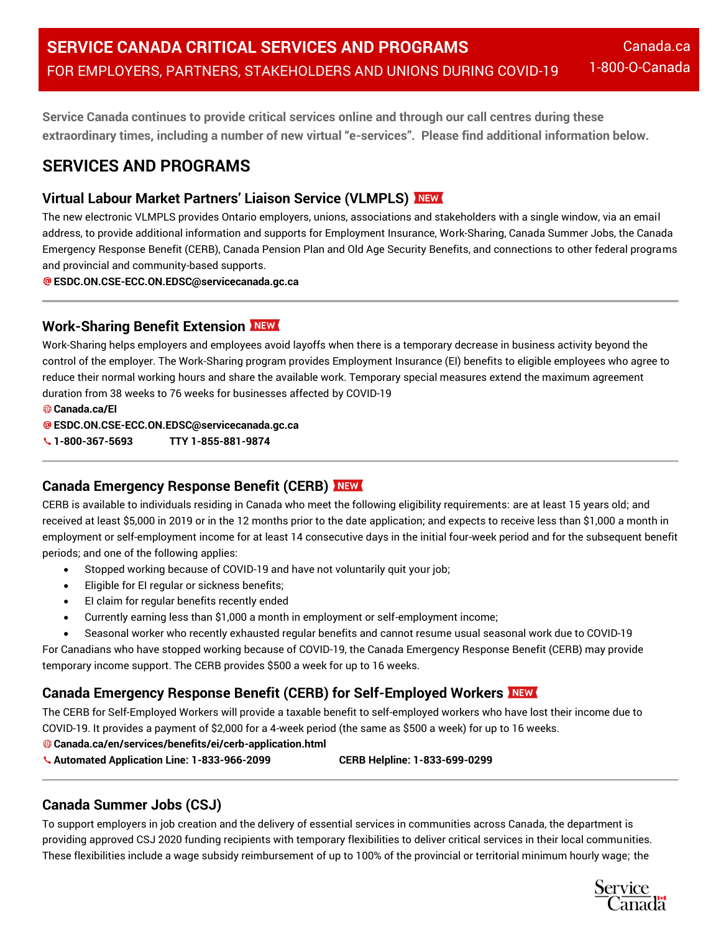**Service Canada continues to provide critical services online and through our call centres during these extraordinary times, including a number of new virtual "e-services". Please find additional information below.**

# **SERVICES AND PROGRAMS**

## **Virtual Labour Market Partners' Liaison Service (VLMPLS)**

The new electronic VLMPLS provides Ontario employers, unions, associations and stakeholders with a single window, via an email address, to provide additional information and supports for Employment Insurance, Work-Sharing, Canada Summer Jobs, the Canada Emergency Response Benefit (CERB), Canada Pension Plan and Old Age Security Benefits, and connections to other federal programs and provincial and community-based supports.

**ESDC.ON.CSE-ECC.ON.EDSC@servicecanada.gc.ca**

### **Work-Sharing Benefit Extension**

Work-Sharing helps employers and employees avoid layoffs when there is a temporary decrease in business activity beyond the control of the employer. The Work-Sharing program provides Employment Insurance (EI) benefits to eligible employees who agree to reduce their normal working hours and share the available work. Temporary special measures extend the maximum agreement duration from 38 weeks to 76 weeks for businesses affected by COVID-19

**Canada.ca/EI**

**ESDC.ON.CSE-ECC.ON.EDSC@servicecanada.gc.ca**

**1-800-367-5693 TTY 1-855-881-9874**

## **Canada Emergency Response Benefit (CERB)**

CERB is available to individuals residing in Canada who meet the following eligibility requirements: are at least 15 years old; and received at least \$5,000 in 2019 or in the 12 months prior to the date application; and expects to receive less than \$1,000 a month in employment or self-employment income for at least 14 consecutive days in the initial four-week period and for the subsequent benefit periods; and one of the following applies:

- Stopped working because of COVID-19 and have not voluntarily quit your job;
- Eligible for EI regular or sickness benefits;
- EI claim for regular benefits recently ended
- Currently earning less than \$1,000 a month in employment or self-employment income;
- Seasonal worker who recently exhausted regular benefits and cannot resume usual seasonal work due to COVID-19

For Canadians who have stopped working because of COVID-19, the Canada Emergency Response Benefit (CERB) may provide temporary income support. The CERB provides \$500 a week for up to 16 weeks.

## **Canada Emergency Response Benefit (CERB) for Self-Employed Workers**

The CERB for Self-Employed Workers will provide a taxable benefit to self-employed workers who have lost their income due to COVID-19. It provides a payment of \$2,000 for a 4-week period (the same as \$500 a week) for up to 16 weeks.

- **Canada.ca/en/services/benefits/ei/cerb-application.html**
- **Automated Application Line: 1-833-966-2099 CERB Helpline: 1-833-699-0299**

## **Canada Summer Jobs (CSJ)**

To support employers in job creation and the delivery of essential services in communities across Canada, the department is providing approved CSJ 2020 funding recipients with temporary flexibilities to deliver critical services in their local communities. These flexibilities include a wage subsidy reimbursement of up to 100% of the provincial or territorial minimum hourly wage; the

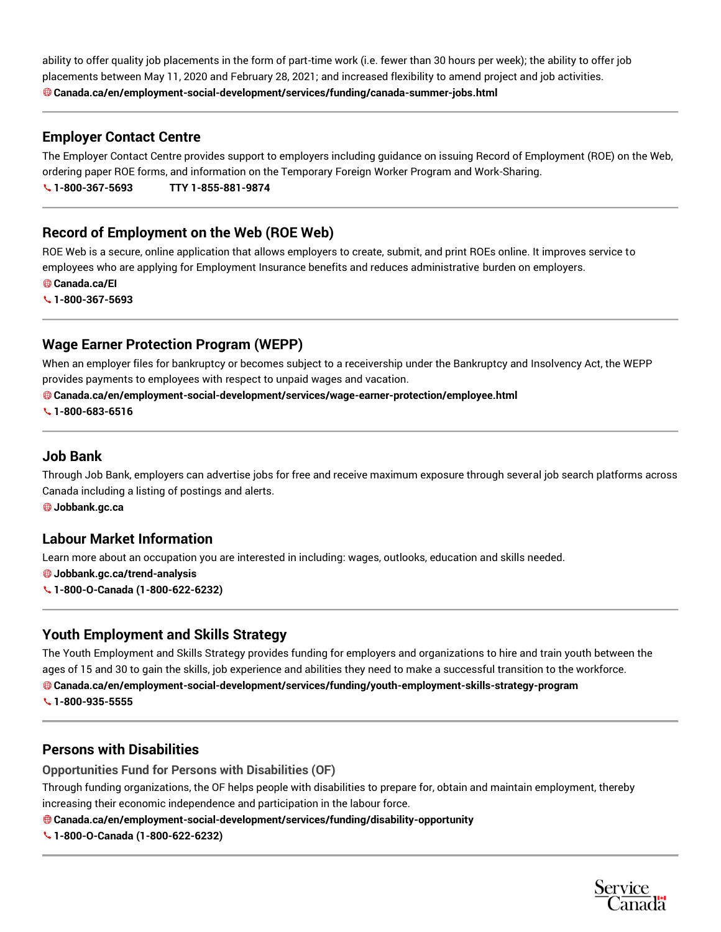ability to offer quality job placements in the form of part-time work (i.e. fewer than 30 hours per week); the ability to offer job placements between May 11, 2020 and February 28, 2021; and increased flexibility to amend project and job activities. **Canada.ca/en/employment-social-development/services/funding/canada-summer-jobs.html**

### **Employer Contact Centre**

The Employer Contact Centre provides support to employers including guidance on issuing Record of Employment (ROE) on the Web, ordering paper ROE forms, and information on the Temporary Foreign Worker Program and Work-Sharing. **1-800-367-5693 TTY 1-855-881-9874**

### **Record of Employment on the Web (ROE Web)**

ROE Web is a secure, online application that allows employers to create, submit, and print ROEs online. It improves service to employees who are applying for Employment Insurance benefits and reduces administrative burden on employers.

**Canada.ca/EI**

**1-800-367-5693**

### **Wage Earner Protection Program (WEPP)**

When an employer files for bankruptcy or becomes subject to a receivership under the Bankruptcy and Insolvency Act, the WEPP provides payments to employees with respect to unpaid wages and vacation.

#### **Canada.ca/en/employment-social-development/services/wage-earner-protection/employee.html**

**1-800-683-6516**

### **Job Bank**

Through Job Bank, employers can advertise jobs for free and receive maximum exposure through several job search platforms across Canada including a listing of postings and alerts.

**Jobbank.gc.ca**

### **Labour Market Information**

Learn more about an occupation you are interested in including: wages, outlooks, education and skills needed.

**Jobbank.gc.ca/trend-analysis**

**1-800-O-Canada (1-800-622-6232)**

### **Youth Employment and Skills Strategy**

The Youth Employment and Skills Strategy provides funding for employers and organizations to hire and train youth between the ages of 15 and 30 to gain the skills, job experience and abilities they need to make a successful transition to the workforce.

**Canada.ca/en/employment-social-development/services/funding/youth-employment-skills-strategy-program**

**1-800-935-5555**

### **Persons with Disabilities**

**Opportunities Fund for Persons with Disabilities (OF)**

Through funding organizations, the OF helps people with disabilities to prepare for, obtain and maintain employment, thereby increasing their economic independence and participation in the labour force.

#### **Canada.ca/en/employment-social-development/services/funding/disability-opportunity**

**1-800-O-Canada (1-800-622-6232)**